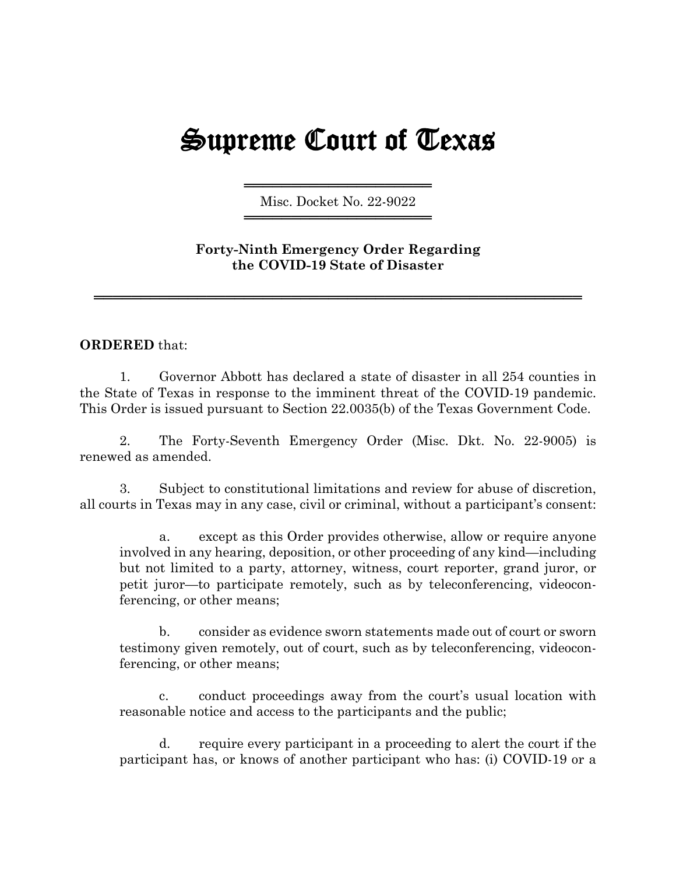## Supreme Court of Texas

════════════════════════════════════ Misc. Docket No. 22-9022 ════════════════════════════════════

## **Forty-Ninth Emergency Order Regarding the COVID-19 State of Disaster**

════════════════════════════════════════════════════

## **ORDERED** that:

1. Governor Abbott has declared a state of disaster in all 254 counties in the State of Texas in response to the imminent threat of the COVID-19 pandemic. This Order is issued pursuant to Section 22.0035(b) of the Texas Government Code.

2. The Forty-Seventh Emergency Order (Misc. Dkt. No. 22-9005) is renewed as amended.

3. Subject to constitutional limitations and review for abuse of discretion, all courts in Texas may in any case, civil or criminal, without a participant's consent:

a. except as this Order provides otherwise, allow or require anyone involved in any hearing, deposition, or other proceeding of any kind—including but not limited to a party, attorney, witness, court reporter, grand juror, or petit juror—to participate remotely, such as by teleconferencing, videoconferencing, or other means;

b. consider as evidence sworn statements made out of court or sworn testimony given remotely, out of court, such as by teleconferencing, videoconferencing, or other means;

c. conduct proceedings away from the court's usual location with reasonable notice and access to the participants and the public;

d. require every participant in a proceeding to alert the court if the participant has, or knows of another participant who has: (i) COVID-19 or a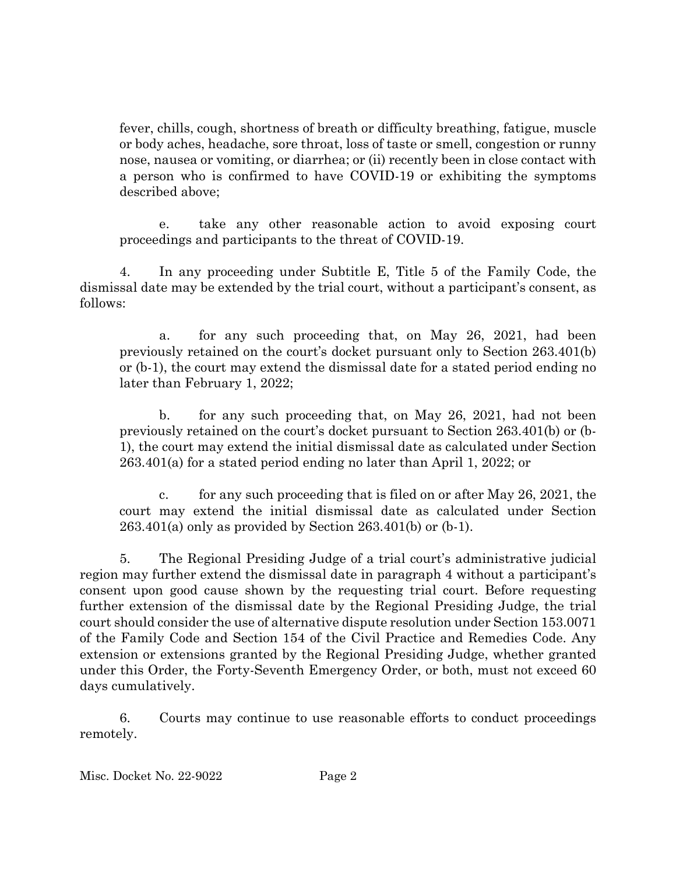fever, chills, cough, shortness of breath or difficulty breathing, fatigue, muscle or body aches, headache, sore throat, loss of taste or smell, congestion or runny nose, nausea or vomiting, or diarrhea; or (ii) recently been in close contact with a person who is confirmed to have COVID-19 or exhibiting the symptoms described above;

e. take any other reasonable action to avoid exposing court proceedings and participants to the threat of COVID-19.

4. In any proceeding under Subtitle E, Title 5 of the Family Code, the dismissal date may be extended by the trial court, without a participant's consent, as follows:

a. for any such proceeding that, on May 26, 2021, had been previously retained on the court's docket pursuant only to Section 263.401(b) or (b-1), the court may extend the dismissal date for a stated period ending no later than February 1, 2022;

b. for any such proceeding that, on May 26, 2021, had not been previously retained on the court's docket pursuant to Section 263.401(b) or (b-1), the court may extend the initial dismissal date as calculated under Section 263.401(a) for a stated period ending no later than April 1, 2022; or

c. for any such proceeding that is filed on or after May 26, 2021, the court may extend the initial dismissal date as calculated under Section 263.401(a) only as provided by Section 263.401(b) or (b-1).

5. The Regional Presiding Judge of a trial court's administrative judicial region may further extend the dismissal date in paragraph 4 without a participant's consent upon good cause shown by the requesting trial court. Before requesting further extension of the dismissal date by the Regional Presiding Judge, the trial court should consider the use of alternative dispute resolution under Section 153.0071 of the Family Code and Section 154 of the Civil Practice and Remedies Code. Any extension or extensions granted by the Regional Presiding Judge, whether granted under this Order, the Forty-Seventh Emergency Order, or both, must not exceed 60 days cumulatively.

6. Courts may continue to use reasonable efforts to conduct proceedings remotely.

Misc. Docket No. 22-9022 Page 2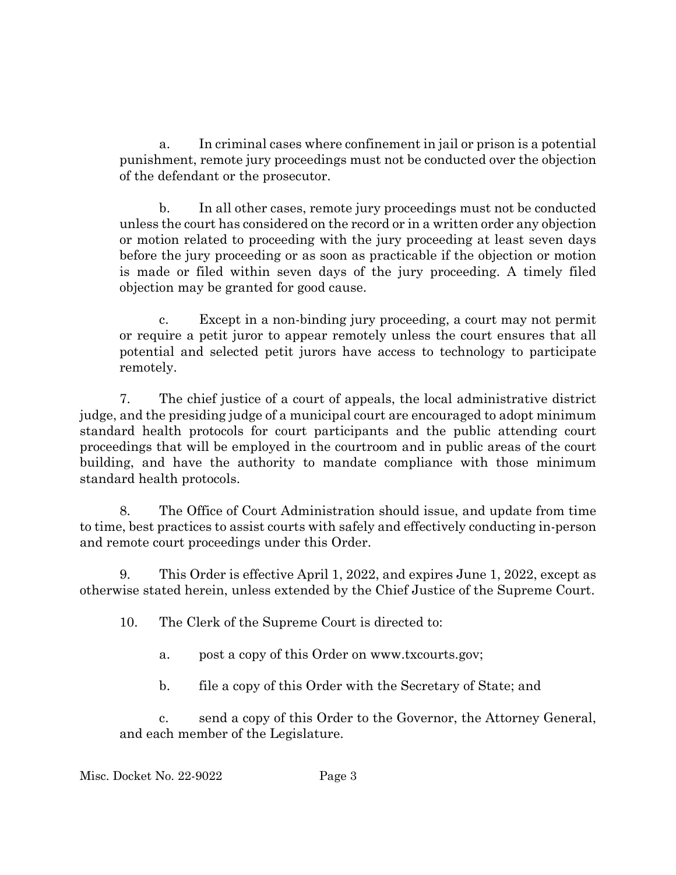a. In criminal cases where confinement in jail or prison is a potential punishment, remote jury proceedings must not be conducted over the objection of the defendant or the prosecutor.

b. In all other cases, remote jury proceedings must not be conducted unless the court has considered on the record or in a written order any objection or motion related to proceeding with the jury proceeding at least seven days before the jury proceeding or as soon as practicable if the objection or motion is made or filed within seven days of the jury proceeding. A timely filed objection may be granted for good cause.

c. Except in a non-binding jury proceeding, a court may not permit or require a petit juror to appear remotely unless the court ensures that all potential and selected petit jurors have access to technology to participate remotely.

7. The chief justice of a court of appeals, the local administrative district judge, and the presiding judge of a municipal court are encouraged to adopt minimum standard health protocols for court participants and the public attending court proceedings that will be employed in the courtroom and in public areas of the court building, and have the authority to mandate compliance with those minimum standard health protocols.

8. The Office of Court Administration should issue, and update from time to time, best practices to assist courts with safely and effectively conducting in-person and remote court proceedings under this Order.

9. This Order is effective April 1, 2022, and expires June 1, 2022, except as otherwise stated herein, unless extended by the Chief Justice of the Supreme Court.

10. The Clerk of the Supreme Court is directed to:

a. post a copy of this Order on www.txcourts.gov;

b. file a copy of this Order with the Secretary of State; and

c. send a copy of this Order to the Governor, the Attorney General, and each member of the Legislature.